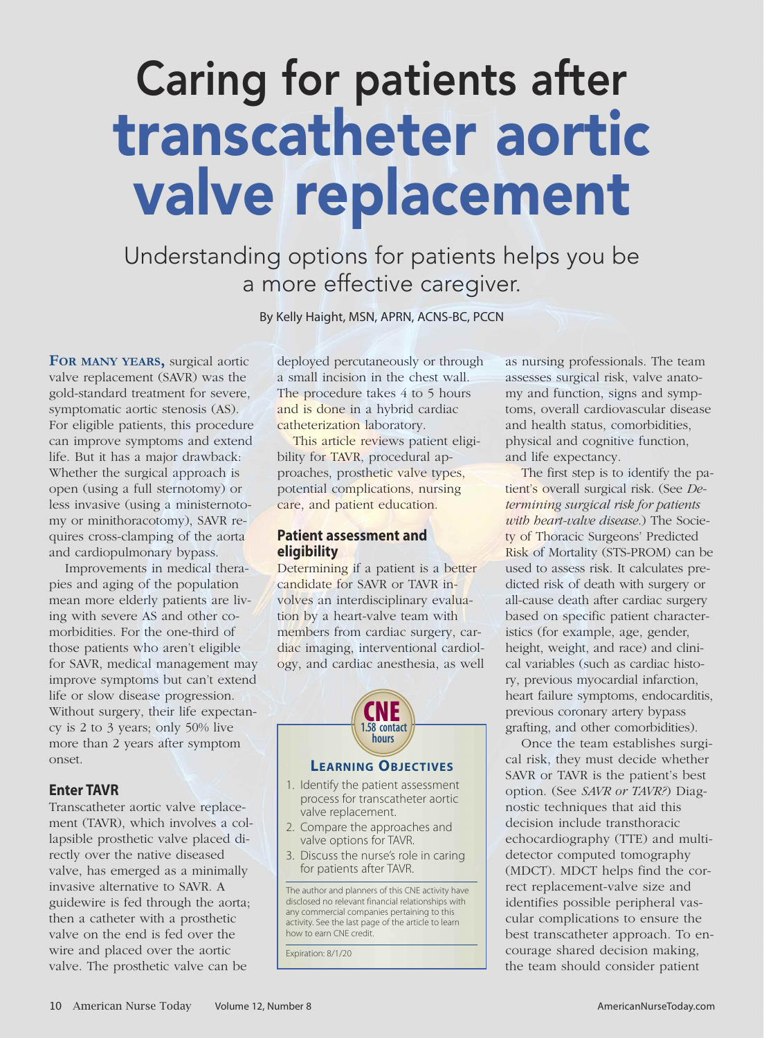# Caring for patients after transcatheter aortic valve replacement

Understanding options for patients helps you be a more effective caregiver.

By Kelly Haight, MSN, APRN, ACNS-BC, PCCN

**FOR MANY YEARS,** surgical aortic valve replacement (SAVR) was the gold-standard treatment for severe, symptomatic aortic stenosis (AS). For eligible patients, this procedure can improve symptoms and extend life. But it has a major drawback: Whether the surgical approach is open (using a full sternotomy) or less invasive (using a ministernotomy or minithoracotomy), SAVR requires cross-clamping of the aorta and cardiopulmonary bypass.

Improvements in medical therapies and aging of the population mean more elderly patients are living with severe AS and other comorbidities. For the one-third of those patients who aren't eligible for SAVR, medical management may improve symptoms but can't extend life or slow disease progression. Without surgery, their life expectancy is 2 to 3 years; only 50% live more than 2 years after symptom onset.

# **Enter TAVR**

Transcatheter aortic valve replacement (TAVR), which involves a collapsible prosthetic valve placed directly over the native diseased valve, has emerged as a minimally invasive alternative to SAVR. A guidewire is fed through the aorta; then a catheter with a prosthetic valve on the end is fed over the wire and placed over the aortic valve. The prosthetic valve can be

deployed percutaneously or through a small incision in the chest wall. The procedure takes 4 to 5 hours and is done in a hybrid cardiac catheterization laboratory.

This article reviews patient eligibility for TAVR, procedural approaches, prosthetic valve types, potential complications, nursing care, and patient education.

# **Patient assessment and eligibility**

Determining if a patient is a better candidate for SAVR or TAVR involves an interdisciplinary evaluation by a heart-valve team with members from cardiac surgery, cardiac imaging, interventional cardiology, and cardiac anesthesia, as well



# **LEARNING OBJECTIVES**

- 1. Identify the patient assessment process for transcatheter aortic valve replacement.
- 2. Compare the approaches and valve options for TAVR.
- 3. Discuss the nurse's role in caring for patients after TAVR.

The author and planners of this CNE activity have disclosed no relevant financial relationships with any commercial companies pertaining to this activity. See the last page of the article to learn how to earn CNE credit.

Expiration: 8/1/20

as nursing professionals. The team assesses surgical risk, valve anatomy and function, signs and symptoms, overall cardiovascular disease and health status, comorbidities, physical and cognitive function, and life expectancy.

The first step is to identify the patient's overall surgical risk. (See *Determining surgical risk for patients with heart-valve disease*.) The Society of Thoracic Surgeons' Predicted Risk of Mortality (STS-PROM) can be used to assess risk. It calculates predicted risk of death with surgery or all-cause death after cardiac surgery based on specific patient characteristics (for example, age, gender, height, weight, and race) and clinical variables (such as cardiac history, previous myocardial infarction, heart failure symptoms, endocarditis, previous coronary artery bypass grafting, and other comorbidities).

Once the team establishes surgical risk, they must decide whether SAVR or TAVR is the patient's best option. (See *SAVR or TAVR?*) Diagnostic techniques that aid this decision include transthoracic echocardiography (TTE) and multidetector computed tomography (MDCT). MDCT helps find the correct replacement-valve size and identifies possible peripheral vascular complications to ensure the best transcatheter approach. To encourage shared decision making, the team should consider patient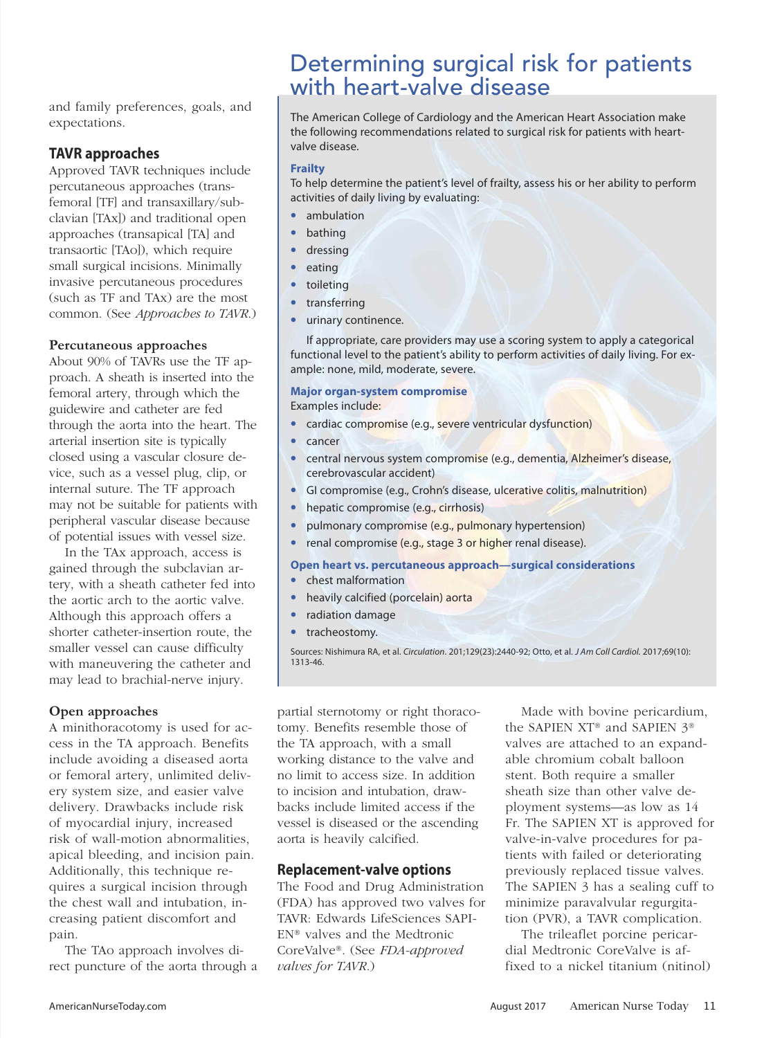and family preferences, goals, and expectations.

# **TAVR approaches**

Approved TAVR techniques include percutaneous approaches (transfemoral [TF] and transaxillary/subclavian [TAx]) and traditional open approaches (transapical [TA] and transaortic [TAo]), which require small surgical incisions. Minimally invasive percutaneous procedures (such as TF and TAx) are the most common. (See *Approaches to TAVR*.)

# **Percutaneous approaches**

About 90% of TAVRs use the TF approach. A sheath is inserted into the femoral artery, through which the guidewire and catheter are fed through the aorta into the heart. The arterial insertion site is typically closed using a vascular closure device, such as a vessel plug, clip, or internal suture. The TF approach may not be suitable for patients with peripheral vascular disease because of potential issues with vessel size.

In the TAx approach, access is gained through the subclavian artery, with a sheath catheter fed into the aortic arch to the aortic valve. Although this approach offers a shorter catheter-insertion route, the smaller vessel can cause difficulty with maneuvering the catheter and may lead to brachial-nerve injury.

# **Open approaches**

A minithoracotomy is used for access in the TA approach. Benefits include avoiding a diseased aorta or femoral artery, unlimited delivery system size, and easier valve delivery. Drawbacks include risk of myocardial injury, increased risk of wall-motion abnormalities, apical bleeding, and incision pain. Additionally, this technique requires a surgical incision through the chest wall and intubation, increasing patient discomfort and pain.

The TAo approach involves direct puncture of the aorta through a

# Determining surgical risk for patients with heart-valve disease

The American College of Cardiology and the American Heart Association make the following recommendations related to surgical risk for patients with heartvalve disease.

# **Frailty**

To help determine the patient's level of frailty, assess his or her ability to perform activities of daily living by evaluating:

- ambulation
- bathing
- dressing
- **eating**
- toileting
- transferring
- urinary continence.

If appropriate, care providers may use a scoring system to apply a categorical functional level to the patient's ability to perform activities of daily living. For example: none, mild, moderate, severe.

# **Major organ-system compromise**

Examples include:

- cardiac compromise (e.g., severe ventricular dysfunction)
- cancer
- central nervous system compromise (e.g., dementia, Alzheimer's disease, cerebrovascular accident)
- GI compromise (e.g., Crohn's disease, ulcerative colitis, malnutrition)
- hepatic compromise (e.g., cirrhosis)
- pulmonary compromise (e.g., pulmonary hypertension)
- renal compromise (e.g., stage 3 or higher renal disease).

#### **Open heart vs. percutaneous approach—surgical considerations** • chest malformation

- heavily calcified (porcelain) aorta
- radiation damage
- tracheostomy.

Sources: Nishimura RA, et al. Circulation. 201;129(23):2440-92; Otto, et al. J Am Coll Cardiol. 2017;69(10): 1313-46.

partial sternotomy or right thoracotomy. Benefits resemble those of the TA approach, with a small working distance to the valve and no limit to access size. In addition to incision and intubation, drawbacks include limited access if the vessel is diseased or the ascending aorta is heavily calcified.

# **Replacement-valve options**

The Food and Drug Administration (FDA) has approved two valves for TAVR: Edwards LifeSciences SAPI-EN® valves and the Medtronic CoreValve®. (See *FDA-approved valves for TAVR*.)

Made with bovine pericardium, the SAPIEN XT® and SAPIEN 3® valves are attached to an expandable chromium cobalt balloon stent. Both require a smaller sheath size than other valve deployment systems—as low as 14 Fr. The SAPIEN XT is approved for valve-in-valve procedures for patients with failed or deteriorating previously replaced tissue valves. The SAPIEN 3 has a sealing cuff to minimize paravalvular regurgitation (PVR), a TAVR complication.

The trileaflet porcine pericardial Medtronic CoreValve is affixed to a nickel titanium (nitinol)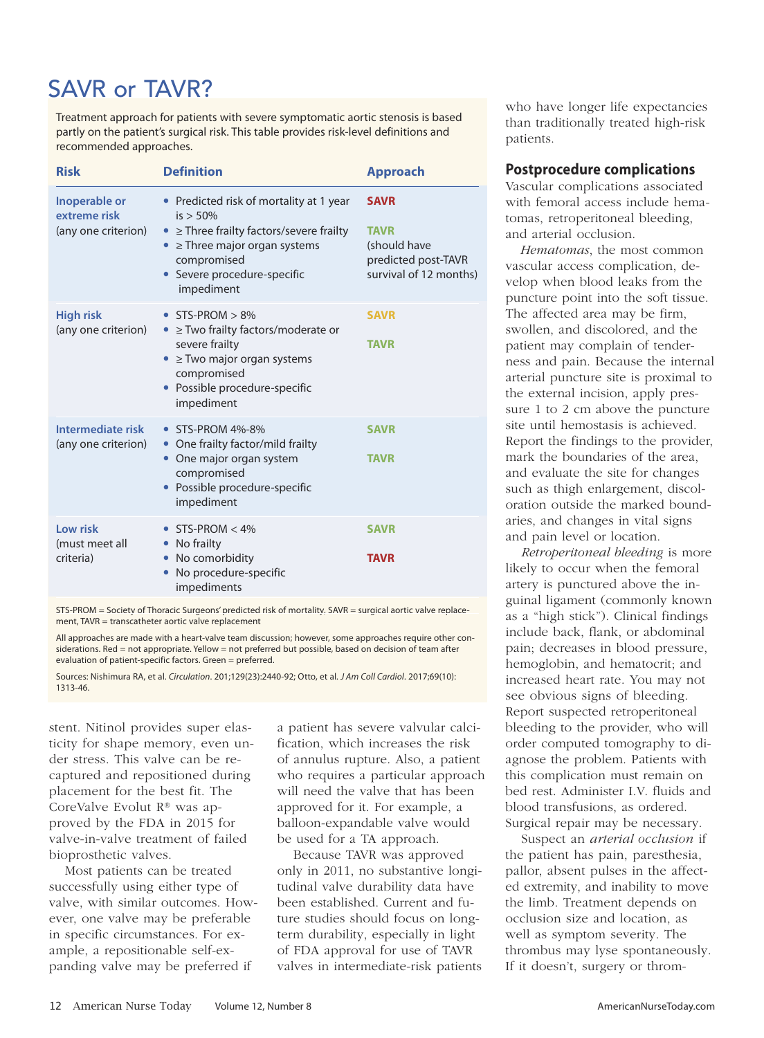# SAVR or TAVR?

Treatment approach for patients with severe symptomatic aortic stenosis is based partly on the patient's surgical risk. This table provides risk-level definitions and recommended approaches.

| <b>Risk</b>                                          | <b>Definition</b>                                                                                                                                                                                                 | <b>Approach</b>                                                                             |
|------------------------------------------------------|-------------------------------------------------------------------------------------------------------------------------------------------------------------------------------------------------------------------|---------------------------------------------------------------------------------------------|
| Inoperable or<br>extreme risk<br>(any one criterion) | • Predicted risk of mortality at 1 year<br>$is > 50\%$<br>$\ge$ Three frailty factors/severe frailty<br>$\bullet$<br>$\geq$ Three major organ systems<br>compromised<br>• Severe procedure-specific<br>impediment | <b>SAVR</b><br><b>TAVR</b><br>(should have<br>predicted post-TAVR<br>survival of 12 months) |
| <b>High risk</b><br>(any one criterion)              | $\bullet$ STS-PROM $> 8\%$<br>$\ge$ Two frailty factors/moderate or<br>$\bullet$<br>severe frailty<br>$\ge$ Two major organ systems<br>compromised<br>Possible procedure-specific<br>impediment                   | <b>SAVR</b><br><b>TAVR</b>                                                                  |
| Intermediate risk<br>(any one criterion)             | • STS-PROM 4%-8%<br>• One frailty factor/mild frailty<br>One major organ system<br>compromised<br>Possible procedure-specific<br>impediment                                                                       | <b>SAVR</b><br><b>TAVR</b>                                                                  |
| Low risk<br>(must meet all<br>criteria)              | $STS-PROM < 4\%$<br>$\bullet$<br>No frailty<br>No comorbidity<br>No procedure-specific<br>impediments                                                                                                             | <b>SAVR</b><br><b>TAVR</b>                                                                  |

STS-PROM = Society of Thoracic Surgeons' predicted risk of mortality, SAVR = surgical aortic valve replacement, TAVR = transcatheter aortic valve replacement

All approaches are made with a heart-valve team discussion; however, some approaches require other considerations. Red = not appropriate. Yellow = not preferred but possible, based on decision of team after evaluation of patient-specific factors. Green = preferred.

Sources: Nishimura RA, et al. Circulation. 201;129(23):2440-92; Otto, et al. J Am Coll Cardiol. 2017;69(10): 1313-46.

stent. Nitinol provides super elasticity for shape memory, even under stress. This valve can be recaptured and repositioned during placement for the best fit. The CoreValve Evolut R® was approved by the FDA in 2015 for valve-in-valve treatment of failed bioprosthetic valves.

Most patients can be treated successfully using either type of valve, with similar outcomes. However, one valve may be preferable in specific circumstances. For example, a repositionable self-expanding valve may be preferred if

a patient has severe valvular calcification, which increases the risk of annulus rupture. Also, a patient who requires a particular approach will need the valve that has been approved for it. For example, a balloon-expandable valve would be used for a TA approach.

Because TAVR was approved only in 2011, no substantive longitudinal valve durability data have been established. Current and future studies should focus on longterm durability, especially in light of FDA approval for use of TAVR valves in intermediate-risk patients

who have longer life expectancies than traditionally treated high-risk patients.

# **Postprocedure complications**

Vascular complications associated with femoral access include hematomas, retroperitoneal bleeding, and arterial occlusion.

*Hematomas*, the most common vascular access complication, develop when blood leaks from the puncture point into the soft tissue. The affected area may be firm, swollen, and discolored, and the patient may complain of tenderness and pain. Because the internal arterial puncture site is proximal to the external incision, apply pressure 1 to 2 cm above the puncture site until hemostasis is achieved. Report the findings to the provider, mark the boundaries of the area, and evaluate the site for changes such as thigh enlargement, discoloration outside the marked boundaries, and changes in vital signs and pain level or location.

*Retroperitoneal bleeding* is more likely to occur when the femoral artery is punctured above the inguinal ligament (commonly known as a "high stick"). Clinical findings include back, flank, or abdominal pain; decreases in blood pressure, hemoglobin, and hematocrit; and increased heart rate. You may not see obvious signs of bleeding. Report suspected retroperitoneal bleeding to the provider, who will order computed tomography to diagnose the problem. Patients with this complication must remain on bed rest. Administer I.V. fluids and blood transfusions, as ordered. Surgical repair may be necessary.

Suspect an *arterial occlusion* if the patient has pain, paresthesia, pallor, absent pulses in the affected extremity, and inability to move the limb. Treatment depends on occlusion size and location, as well as symptom severity. The thrombus may lyse spontaneously. If it doesn't, surgery or throm-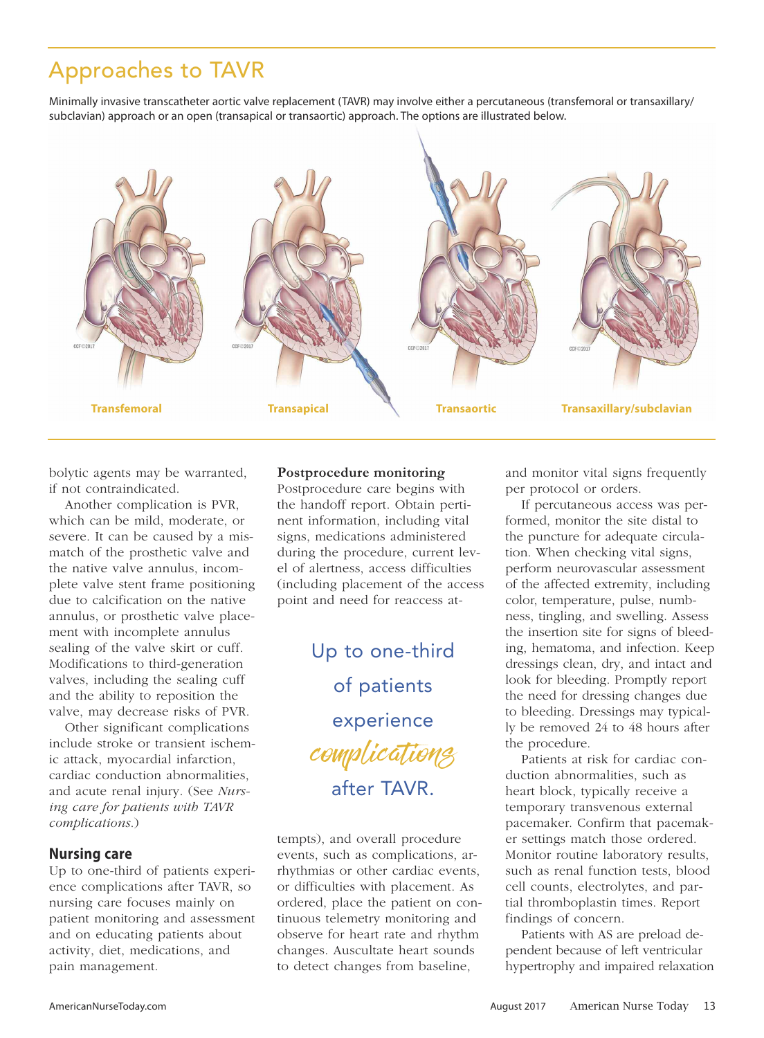# Approaches to TAVR

Minimally invasive transcatheter aortic valve replacement (TAVR) may involve either a percutaneous (transfemoral or transaxillary/ subclavian) approach or an open (transapical or transaortic) approach. The options are illustrated below.



bolytic agents may be warranted, if not contraindicated.

Another complication is PVR, which can be mild, moderate, or severe. It can be caused by a mismatch of the prosthetic valve and the native valve annulus, incomplete valve stent frame positioning due to calcification on the native annulus, or prosthetic valve placement with incomplete annulus sealing of the valve skirt or cuff. Modifications to third-generation valves, including the sealing cuff and the ability to reposition the valve, may decrease risks of PVR.

Other significant complications include stroke or transient ischemic attack, myocardial infarction, cardiac conduction abnormalities, and acute renal injury. (See *Nursing care for patients with TAVR complications*.)

# **Nursing care**

Up to one-third of patients experience complications after TAVR, so nursing care focuses mainly on patient monitoring and assessment and on educating patients about activity, diet, medications, and pain management.

# **Postprocedure monitoring**

Postprocedure care begins with the handoff report. Obtain pertinent information, including vital signs, medications administered during the procedure, current level of alertness, access difficulties (including placement of the access point and need for reaccess at-

> Up to one-third of patients experience complications after TAVR.

tempts), and overall procedure events, such as complications, arrhythmias or other cardiac events, or difficulties with placement. As ordered, place the patient on continuous telemetry monitoring and observe for heart rate and rhythm changes. Auscultate heart sounds to detect changes from baseline,

and monitor vital signs frequently per protocol or orders.

If percutaneous access was performed, monitor the site distal to the puncture for adequate circulation. When checking vital signs, perform neurovascular assessment of the affected extremity, including color, temperature, pulse, numbness, tingling, and swelling. Assess the insertion site for signs of bleeding, hematoma, and infection. Keep dressings clean, dry, and intact and look for bleeding. Promptly report the need for dressing changes due to bleeding. Dressings may typically be removed 24 to 48 hours after the procedure.

Patients at risk for cardiac conduction abnormalities, such as heart block, typically receive a temporary transvenous external pacemaker. Confirm that pacemaker settings match those ordered. Monitor routine laboratory results, such as renal function tests, blood cell counts, electrolytes, and partial thromboplastin times. Report findings of concern.

Patients with AS are preload dependent because of left ventricular hypertrophy and impaired relaxation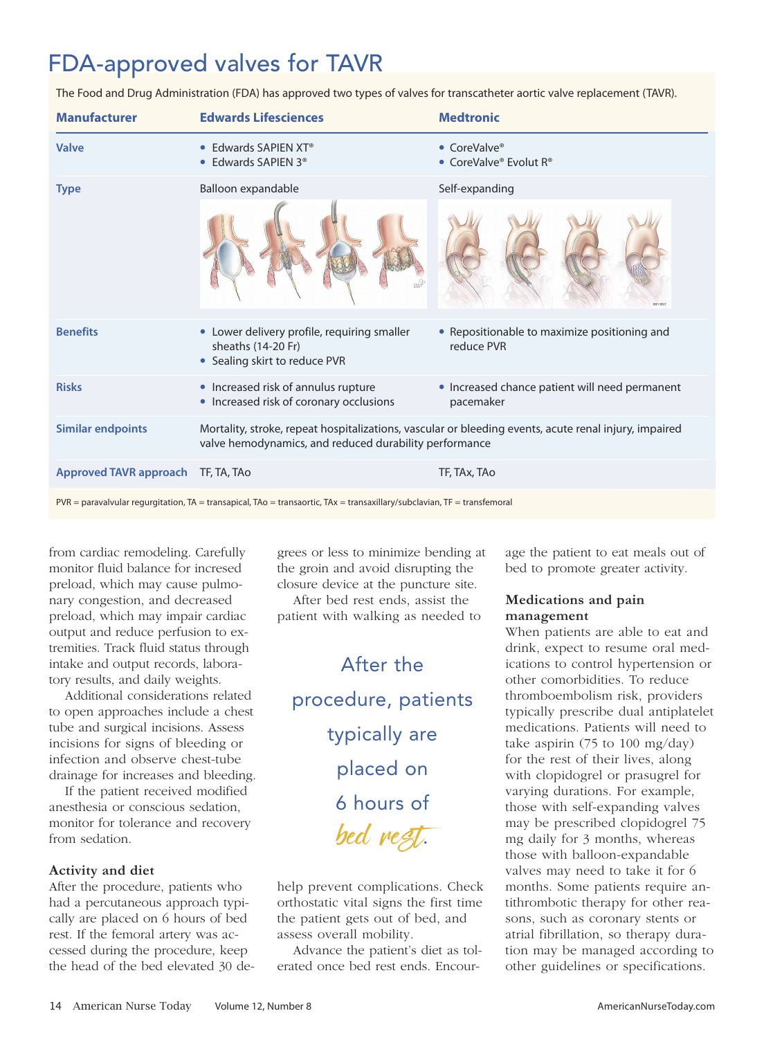# FDA-approved valves for TAVR

The Food and Drug Administration (FDA) has approved two types of valves for transcatheter aortic valve replacement (TAVR).

| <b>Manufacturer</b>           | <b>Edwards Lifesciences</b>                                                                                                                                     | <b>Medtronic</b>                                            |
|-------------------------------|-----------------------------------------------------------------------------------------------------------------------------------------------------------------|-------------------------------------------------------------|
| Valve                         | Edwards SAPIEN XT <sup>®</sup><br>$\bullet$<br>• Edwards SAPIEN 3 <sup>®</sup>                                                                                  | • CoreValve®<br>• CoreValve® Evolut $R^{\circ}$             |
| <b>Type</b>                   | Balloon expandable                                                                                                                                              | Self-expanding                                              |
|                               |                                                                                                                                                                 | CCF (201)                                                   |
| <b>Benefits</b>               | • Lower delivery profile, requiring smaller<br>sheaths (14-20 Fr)<br>• Sealing skirt to reduce PVR                                                              | • Repositionable to maximize positioning and<br>reduce PVR  |
| <b>Risks</b>                  | • Increased risk of annulus rupture<br>• Increased risk of coronary occlusions                                                                                  | • Increased chance patient will need permanent<br>pacemaker |
| <b>Similar endpoints</b>      | Mortality, stroke, repeat hospitalizations, vascular or bleeding events, acute renal injury, impaired<br>valve hemodynamics, and reduced durability performance |                                                             |
| <b>Approved TAVR approach</b> | TF, TA, TAo                                                                                                                                                     | TF, TAx, TAo                                                |

 $PVR =$  paravalvular regurgitation,  $TA =$  transapical,  $TAo =$  transaortic,  $TAx =$  transaxillary/subclavian,  $TF =$  transfemoral

from cardiac remodeling. Carefully monitor fluid balance for incresed preload, which may cause pulmonary congestion, and decreased preload, which may impair cardiac output and reduce perfusion to extremities. Track fluid status through intake and output records, laboratory results, and daily weights.

Additional considerations related to open approaches include a chest tube and surgical incisions. Assess incisions for signs of bleeding or infection and observe chest-tube drainage for increases and bleeding.

If the patient received modified anesthesia or conscious sedation, monitor for tolerance and recovery from sedation.

# **Activity and diet**

After the procedure, patients who had a percutaneous approach typically are placed on 6 hours of bed rest. If the femoral artery was accessed during the procedure, keep the head of the bed elevated 30 degrees or less to minimize bending at the groin and avoid disrupting the closure device at the puncture site.

After bed rest ends, assist the patient with walking as needed to

After the procedure, patients typically are placed on 6 hours of bed rest.

help prevent complications. Check orthostatic vital signs the first time the patient gets out of bed, and assess overall mobility.

Advance the patient's diet as tolerated once bed rest ends. Encour-

age the patient to eat meals out of bed to promote greater activity.

# **Medications and pain management**

When patients are able to eat and drink, expect to resume oral medications to control hypertension or other comorbidities. To reduce thromboembolism risk, providers typically prescribe dual antiplatelet medications. Patients will need to take aspirin (75 to 100 mg/day) for the rest of their lives, along with clopidogrel or prasugrel for varying durations. For example, those with self-expanding valves may be prescribed clopidogrel 75 mg daily for 3 months, whereas those with balloon-expandable valves may need to take it for 6 months. Some patients require antithrombotic therapy for other reasons, such as coronary stents or atrial fibrillation, so therapy duration may be managed according to other guidelines or specifications.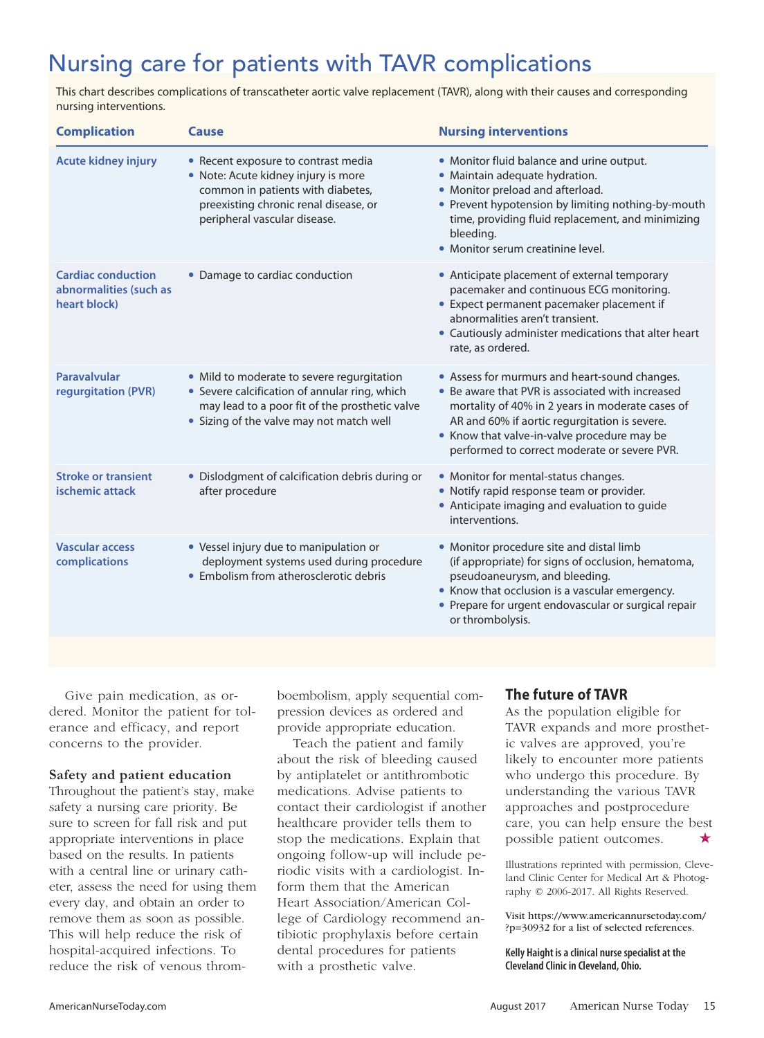# Nursing care for patients with TAVR complications

This chart describes complications of transcatheter aortic valve replacement (TAVR), along with their causes and corresponding nursing interventions.

| <b>Complication</b>                                                 | Cause                                                                                                                                                                                     | <b>Nursing interventions</b>                                                                                                                                                                                                                                                                          |
|---------------------------------------------------------------------|-------------------------------------------------------------------------------------------------------------------------------------------------------------------------------------------|-------------------------------------------------------------------------------------------------------------------------------------------------------------------------------------------------------------------------------------------------------------------------------------------------------|
| <b>Acute kidney injury</b>                                          | • Recent exposure to contrast media<br>· Note: Acute kidney injury is more<br>common in patients with diabetes,<br>preexisting chronic renal disease, or<br>peripheral vascular disease.  | • Monitor fluid balance and urine output.<br>• Maintain adequate hydration.<br>• Monitor preload and afterload.<br>• Prevent hypotension by limiting nothing-by-mouth<br>time, providing fluid replacement, and minimizing<br>bleeding.<br>• Monitor serum creatinine level.                          |
| <b>Cardiac conduction</b><br>abnormalities (such as<br>heart block) | • Damage to cardiac conduction                                                                                                                                                            | • Anticipate placement of external temporary<br>pacemaker and continuous ECG monitoring.<br>• Expect permanent pacemaker placement if<br>abnormalities aren't transient.<br>• Cautiously administer medications that alter heart<br>rate, as ordered.                                                 |
| Paravalvular<br>regurgitation (PVR)                                 | • Mild to moderate to severe regurgitation<br>• Severe calcification of annular ring, which<br>may lead to a poor fit of the prosthetic valve<br>• Sizing of the valve may not match well | • Assess for murmurs and heart-sound changes.<br>• Be aware that PVR is associated with increased<br>mortality of 40% in 2 years in moderate cases of<br>AR and 60% if aortic regurgitation is severe.<br>• Know that valve-in-valve procedure may be<br>performed to correct moderate or severe PVR. |
| <b>Stroke or transient</b><br>ischemic attack                       | • Dislodgment of calcification debris during or<br>after procedure                                                                                                                        | • Monitor for mental-status changes.<br>• Notify rapid response team or provider.<br>• Anticipate imaging and evaluation to guide<br>interventions.                                                                                                                                                   |
| <b>Vascular access</b><br>complications                             | • Vessel injury due to manipulation or<br>deployment systems used during procedure<br>• Embolism from atherosclerotic debris                                                              | • Monitor procedure site and distal limb<br>(if appropriate) for signs of occlusion, hematoma,<br>pseudoaneurysm, and bleeding.<br>• Know that occlusion is a vascular emergency.<br>• Prepare for urgent endovascular or surgical repair<br>or thrombolysis.                                         |

Give pain medication, as ordered. Monitor the patient for tolerance and efficacy, and report concerns to the provider.

# **Safety and patient education**

Throughout the patient's stay, make safety a nursing care priority. Be sure to screen for fall risk and put appropriate interventions in place based on the results. In patients with a central line or urinary catheter, assess the need for using them every day, and obtain an order to remove them as soon as possible. This will help reduce the risk of hospital-acquired infections. To reduce the risk of venous thromboembolism, apply sequential compression devices as ordered and provide appropriate education.

Teach the patient and family about the risk of bleeding caused by antiplatelet or antithrombotic medications. Advise patients to contact their cardiologist if another healthcare provider tells them to stop the medications. Explain that ongoing follow-up will include periodic visits with a cardiologist. Inform them that the American Heart Association/American College of Cardiology recommend antibiotic prophylaxis before certain dental procedures for patients with a prosthetic valve.

# **The future of TAVR**

As the population eligible for TAVR expands and more prosthetic valves are approved, you're likely to encounter more patients who undergo this procedure. By understanding the various TAVR approaches and postprocedure care, you can help ensure the best possible patient outcomes.

Illustrations reprinted with permission, Cleveland Clinic Center for Medical Art & Photography © 2006-2017. All Rights Reserved.

Visit https://www.americannursetoday.com/ ?p=30932 for a list of selected references.

**Kelly Haight isaclinical nursespecialistat the Cleveland Clinic in Cleveland, Ohio.**